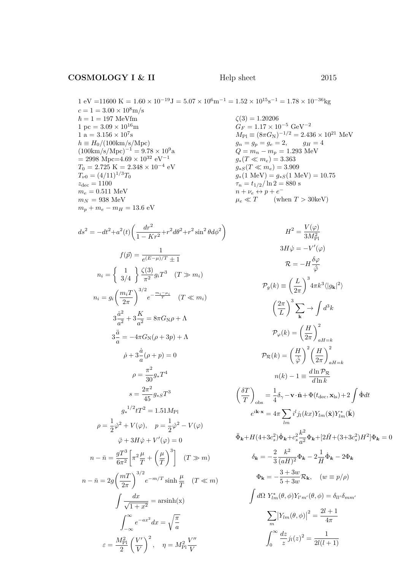1 pc =  $3.09 \times$ 1 a = 3.156  $\times$ 

 $z_{\text{dec}} = 1100$ 

1 eV = 11600 K = 1.60 × 10<sup>-19</sup>J = 5.07 × 10<sup>6</sup>m<sup>-1</sup> = 1.52 × 10<sup>15</sup>s<sup>-1</sup> = 1.78 × 10<sup>-36</sup>kg  
\n
$$
c = 1 = 3.00 × 108m/s
$$
  
\n $\hbar = 1 = 197$  MeVfm  
\n1 pc = 3.09 × 10<sup>16</sup>m  
\n1 a = 3.156 × 10<sup>7</sup>s  
\n $h = H_0/(100 \text{km/s/Mpc})$   
\n $h = H_0/(100 \text{km/s/Mpc})$   
\n $(100 \text{km/s/Mpc})^{-1} = 9.78 × 109a$   
\n $= 2998$  Mpc=4.69 × 10<sup>32</sup> eV<sup>-1</sup>  
\n $T_0 = 2.725$  K = 2.348 × 10<sup>-4</sup> eV  
\n $T_0 = (4/11)^{1/3}T_0$   
\n $\frac{d}{m_e} = 0.511$  MeV  
\n $m_e = 0.511$  MeV  
\n $m_p + m_e - m_H = 13.6$  eV  
\n $m_p + m_e - m_H = 13.6$  eV  
\n $m_p + m_e - m_H = 13.6$  eV

$$
ds^{2} = -dt^{2} + a^{2}(t) \left( \frac{dr^{2}}{1 - Kr^{2}} + r^{2} d\theta^{2} + r^{2} \sin^{2} \theta d\phi^{2} \right)
$$
  

$$
f(\vec{p}) = \frac{1}{e^{(E - \mu)/T} \pm 1}
$$
  

$$
n_{i} = \begin{cases} 1 & \frac{\zeta(3)}{3/4} \frac{1}{\pi^{2}} g_{i} T^{3} & (T \gg m_{i}) \end{cases}
$$
  

$$
n_{i} = g_{i} \left( \frac{m_{i} T}{2\pi} \right)^{3/2} e^{-\frac{m_{i} - \mu_{i}}{T}} \quad (T \ll m_{i})
$$
  

$$
3\frac{\dot{a}^{2}}{a^{2}} + 3\frac{K}{a^{2}} = 8\pi G_{\text{N}} \rho + \Lambda
$$
  

$$
3\frac{\ddot{a}}{a} = -4\pi G_{\text{N}} (\rho + 3p) + \Lambda
$$
  

$$
\dot{\rho} + 3\frac{\dot{a}}{a} (\rho + p) = 0
$$
  

$$
\rho = \frac{\pi^{2}}{30} g_{*} T^{4}
$$
  

$$
s = \frac{2\pi^{2}}{45} g_{*} T^{3}
$$
  

$$
g_{*}^{1/2} t T^{2} = 1.51 M_{\text{Pl}}
$$
  

$$
\rho = \frac{1}{2} \dot{\varphi}^{2} + V(\varphi), \quad p = \frac{1}{2} \dot{\varphi}^{2} - V(\varphi)
$$
  

$$
\ddot{\varphi} + 3H\dot{\varphi} + V'(\varphi) = 0
$$
  

$$
n - \bar{n} = \frac{gT^{3}}{6\pi^{2}} \left[ \pi^{2} \frac{\mu}{T} + \left( \frac{\mu}{T} \right)^{3} \right] \quad (T \gg m)
$$
  

$$
n - \bar{n} = 2g \left( \frac{mT}{2\pi} \right)^{3/2} e^{-m/T} \sinh \frac{\mu}{T} \quad (T \ll m)
$$
  

$$
\int \frac{dx}{\sqrt{1 + x^{2}}} = \arcsinh(x)
$$
  

$$
\int_{-\infty}^{\infty} e^{-ax^{
$$

2

V

V

$$
H^{2} = \frac{V(\varphi)}{3M_{\text{Pl}}^{2}}
$$
  
\n
$$
3H\dot{\varphi} = -V'(\varphi)
$$
  
\n
$$
\mathcal{R} = -H\frac{\delta\varphi}{\dot{\varphi}}
$$
  
\n
$$
\mathcal{P}_{g}(k) \equiv \left(\frac{L}{2\pi}\right)^{3} 4\pi k^{3} \langle |g_{k}|^{2} \rangle
$$
  
\n
$$
\left(\frac{2\pi}{L}\right)^{3} \sum_{\mathbf{k}} \rightarrow \int d^{3}k
$$
  
\n
$$
\mathcal{P}_{\varphi}(k) = \left(\frac{H}{2\pi}\right)^{2} \frac{1}{aH=k}
$$
  
\n
$$
\mathcal{P}_{\varphi}(k) = \left(\frac{H}{\dot{\varphi}}\right)^{2} \left(\frac{H}{2\pi}\right)^{2} \frac{1}{aH=k}
$$
  
\n
$$
n(k) - 1 \equiv \frac{d\ln \mathcal{P}_{\mathcal{R}}}{d\ln k}
$$
  
\n
$$
\left(\frac{\delta T}{T}\right)_{\text{obs}} = \frac{1}{4}\delta_{\gamma} - \mathbf{v} \cdot \hat{\mathbf{n}} + \Phi(t_{\text{dec}}, \mathbf{x}_{\text{ls}}) + 2 \int \Phi dt
$$
  
\n
$$
e^{i\mathbf{k} \cdot \mathbf{x}} = 4\pi \sum_{lm} i^{l} j_{l}(kx) Y_{lm}(\hat{\mathbf{x}}) Y_{lm}^{*}(\hat{\mathbf{k}})
$$
  
\n
$$
\ddot{\Phi}_{\mathbf{k}} + H(4+3c_{s}^{2}) \dot{\Phi}_{\mathbf{k}} + c_{s}^{2} \frac{k^{2}}{a^{2}} \Phi_{\mathbf{k}} + [2\dot{H} + (3+3c_{s}^{2})H^{2}] \Phi_{\mathbf{k}} = 0
$$
  
\n
$$
\delta_{\mathbf{k}} = -\frac{2}{3} \frac{k^{2}}{(aH)^{2}} \Phi_{\mathbf{k}} - 2 \frac{1}{H} \dot{\Phi}_{\mathbf{k}} - 2 \Phi_{\mathbf{k}}
$$
  
\n
$$
\Phi_{\mathbf{k}} = -\frac{3+3w}{5+3w} \mathcal{R}_{\mathbf{k}}, \quad (w \equiv p/\rho)
$$
  
\n
$$
\int
$$